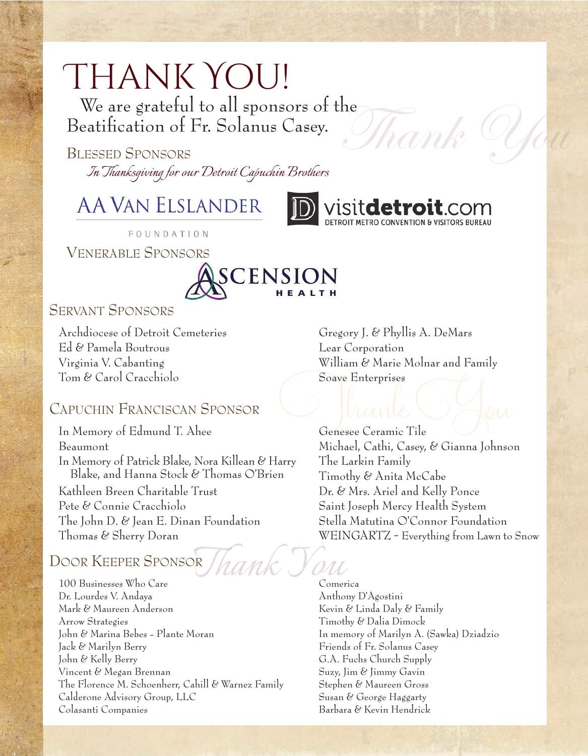# Thank You!

We are grateful to all sponsors of the Beatification of Fr. Solanus Casey.

BLESSED SPONSORS *In Thanksgiving for our Detroit Capuchin Brothers* 

## **AA VAN ELSLANDER**



FOUNDATION

VENERABLE SPONSORS



#### SERVANT SPONSORS

Archdiocese of Detroit Cemeteries Ed & Pamela Boutrous Virginia V. Cabanting Tom & Carol Cracchiolo

#### CAPUCHIN FRANCISCAN SPONSOR

In Memory of Edmund T. Ahee Beaumont In Memory of Patrick Blake, Nora Killean & Harry Blake, and Hanna Stock & Thomas O'Brien Kathleen Breen Charitable Trust Pete & Connie Cracchiolo The John D. & Jean E. Dinan Foundation Thomas & Sherry Doran

### DOOR KEEPER SPONSOR

100 Businesses Who Care Dr. Lourdes V. Andaya Mark & Maureen Anderson Arrow Strategies John & Marina Bebes - Plante Moran Jack & Marilyn Berry John & Kelly Berry Vincent & Megan Brennan The Florence M. Schoenherr, Cahill & Warnez Family Calderone Advisory Group, LLC Colasanti Companies

Gregory J. & Phyllis A. DeMars Lear Corporation William & Marie Molnar and Family Soave Enterprises

 $\partial$ han

sit**detroit**.com

Genesee Ceramic Tile Michael, Cathi, Casey, & Gianna Johnson The Larkin Family Timothy & Anita McCabe Dr. & Mrs. Ariel and Kelly Ponce Saint Joseph Mercy Health System Stella Matutina O'Connor Foundation WEINGARTZ - Everything from Lawn to Snow Mante Offen

> *Thank You* Comerica Anthony D'Agostini Kevin & Linda Daly & Family Timothy & Dalia Dimock In memory of Marilyn A. (Sawka) Dziadzio Friends of Fr. Solanus Casey G.A. Fuchs Church Supply Suzy, Jim & Jimmy Gavin Stephen & Maureen Gross Susan & George Haggarty Barbara & Kevin Hendrick